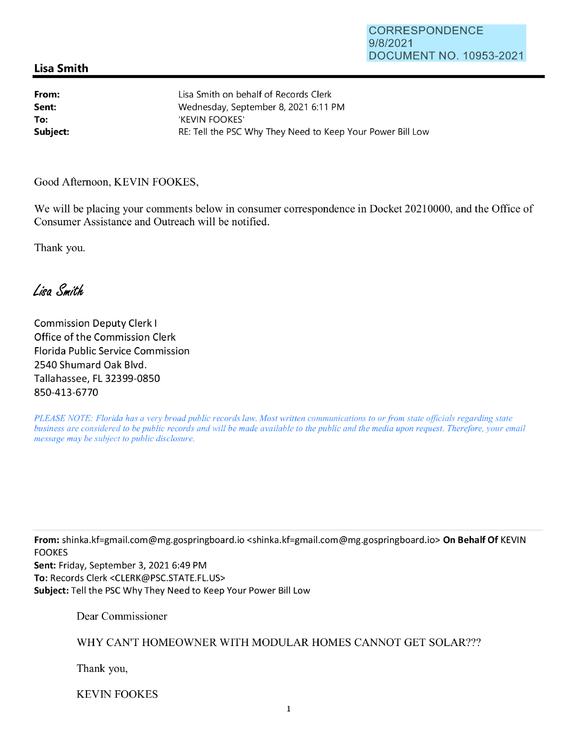## **Lisa Smith**

**From: Sent: To:** 

Lisa Smith on behalf of Records Clerk Wednesday, September 8, 2021 6:11 PM 'KEVIN FOOKES' **Subject: RE:** Tell the PSC Why They Need to Keep Your Power Bill Low

Good Afternoon, KEVIN FOOKES,

We will be placing your comments below in consumer correspondence in Docket 20210000, and the Office of Consumer Assistance and Outreach will be notified.

Thank you.

Lisa Smith

Commission Deputy Clerk I Office of the Commission Clerk Florida Public Service Commission 2540 Shumard Oak Blvd. Tallahassee, FL 32399-0850 850-413-6770

*PLEASE NOTE: Florida has a very broad public records law. Most written communications to or from state officials regarding state business are considered to be public records and will be made available to the public and the media upon request. Therefore, your email message may be subject to public disclosure.* 

**From:** shinka.kf=gmail.com@mg.gospringboard.io <shinka.kf=gmail.com@mg.gospringboard.io> **On Behalf Of** KEVIN FOOKES

**Sent:** Friday, September 3, 2021 6:49 PM **To:** Records Clerk <CLERK@PSC.STATE.FL.US> **Subject:** Tell the PSC Why They Need to Keep Your Power Bill Low

Dear Commissioner

WHY CAN'T HOMEOWNER WITH MODULAR HOMES CANNOT GET SOLAR???

Thank you,

KEVIN FOOKES